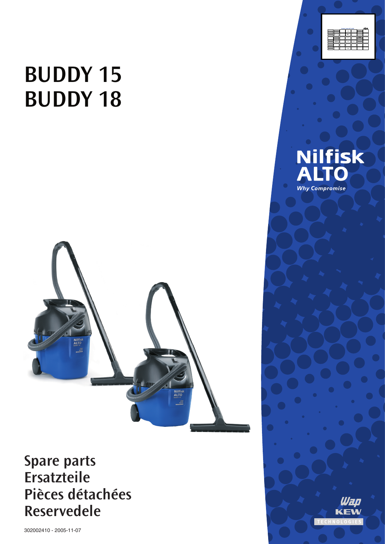# **BUDDY 15 BUDDY 18**



## **Spare parts** Ersatzteile Pièces détachées **Reservedele**

302002410 - 2005-11-07





## **Nilfisk**<br>ALTO **Why Compromise**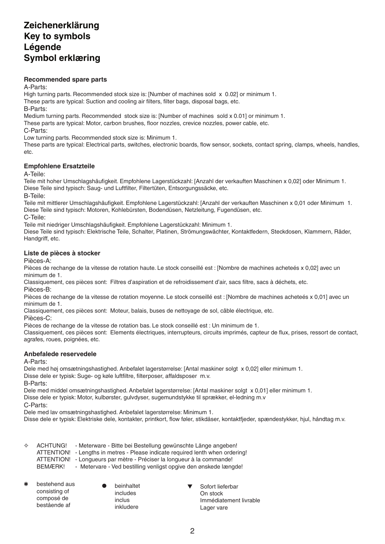### **Zeichenerklärung Key to symbols Légende Symbol erklæring**

#### **Recommended spare parts**

A-Parts:

High turning parts. Recommended stock size is: [Number of machines sold x 0.02] or minimum 1. These parts are typical: Suction and cooling air filters, filter bags, disposal bags, etc.

B-Parts:

Medium turning parts. Recommended stock size is: [Number of machines sold x 0.01] or minimum 1.

These parts are typical: Motor, carbon brushes, floor nozzles, crevice nozzles, power cable, etc.

C-Parts:

Low turning parts. Recommended stock size is: Minimum 1.

These parts are typical: Electrical parts, switches, electronic boards, flow sensor, sockets, contact spring, clamps, wheels, handles, etc.

#### **Empfohlene Ersatzteile**

A-Teile:

Teile mit hoher Umschlagshäufigkeit. Empfohlene Lagerstückzahl: [Anzahl der verkauften Maschinen x 0,02] oder Minimum 1. Diese Teile sind typisch: Saug- und Luftfilter, Filtertüten, Entsorgungssäcke, etc.

B-Teile:

Teile mit mittlerer Umschlagshäufigkeit. Empfohlene Lagerstückzahl: [Anzahl der verkauften Maschinen x 0,01 oder Minimum 1. Diese Teile sind typisch: Motoren, Kohlebürsten, Bodendüsen, Netzleitung, Fugendüsen, etc. C-Teile:

Teile mit niedriger Umschlagshäufigkeit. Empfohlene Lagerstückzahl: Minimum 1.

Diese Teile sind typisch: Elektrische Teile, Schalter, Platinen, Strömungswächter, Kontaktfedern, Steckdosen, Klammern, Räder, Handgriff, etc.

#### **Liste de pièces à stocker**

Pièces-A:

Pièces de rechange de la vitesse de rotation haute. Le stock conseillé est : [Nombre de machines acheteés x 0,02] avec un minimum de 1.

Classiquement, ces pièces sont: Filtres d'aspiration et de refroidissement d'air, sacs filtre, sacs à déchets, etc.

Pièces-B:

Pièces de rechange de la vitesse de rotation moyenne. Le stock conseillé est : [Nombre de machines acheteés x 0,01] avec un minimum de 1.

Classiquement, ces pièces sont: Moteur, balais, buses de nettoyage de sol, câble électrique, etc.

Pièces-C:

Pièces de rechange de la vitesse de rotation bas. Le stock conseillé est : Un minimum de 1.

Classiquement, ces pièces sont: Elements électriques, interrupteurs, circuits imprimés, capteur de flux, prises, ressort de contact, agrafes, roues, poignées, etc.

#### **Anbefalede reservedele**

A-Parts:

Dele med høj omsætningshastighed. Anbefalet lagerstørrelse: [Antal maskiner solgt x 0,02] eller minimum 1. Disse dele er typisk: Suge- og køle luftfiltre, filterposer, affaldsposer m.v.

B-Parts:

Dele med middel omsætningshastighed. Anbefalet lagerstørrelse: [Antal maskiner solgt x 0,01] eller minimum 1.

Disse dele er typisk: Motor, kulbørster, gulvdyser, sugemundstykke til sprækker, el-ledning m.v

C-Parts:

Dele med lav omsætningshastighed. Anbefalet lagerstørrelse: Minimum 1.

Disse dele er typisk: Elektriske dele, kontakter, printkort, flow føler, stikdåser, kontaktfjeder, spændestykker, hjul, håndtag m.v.

| ✧ | ACHTUNG! | - Meterware - Bitte bei Bestellung gewünschte Länge angeben!                   |
|---|----------|--------------------------------------------------------------------------------|
|   |          | ATTENTION! - Lengths in metres - Please indicate required lenth when ordering! |
|   |          | ATTENTION! - Longueurs par mètre - Préciser la longueur à la commande!         |
|   | BEMÆRK!  | - Metervare - Ved bestilling venligst opgive den ønskede længde!               |
|   |          |                                                                                |

- bestehend aus consisting of composé de bestående af
- beinhaltet includes inclus inkludere

 Sofort lieferbar On stock Immédiatement livrable Lager vare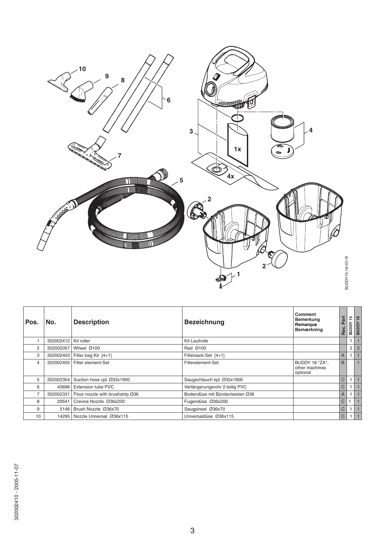

| Pos.           | No.       | <b>Description</b>               | <b>Bezeichnung</b>               | Comment<br><b>Bemerkung</b><br>Remarque<br>Bemærkning | Part<br>Rec.   | 45<br><b>Adana</b> | $\frac{8}{16}$<br><b>RUDDY</b> |
|----------------|-----------|----------------------------------|----------------------------------|-------------------------------------------------------|----------------|--------------------|--------------------------------|
|                | 302002412 | Kit roller                       | Kit Laufrolle                    |                                                       |                | 1                  |                                |
| 2              | 302002057 | Wheel $@100$                     | Rad Ø100                         |                                                       |                | $\overline{2}$     | $\overline{2}$                 |
| 3              | 302002403 | Filter bag Kit [4+1]             | Filtersack-Set [4+1]             |                                                       | $\overline{A}$ |                    |                                |
| 4              | 302002405 | Filter element-Set               | Filterelement-Set                | BUDDY 18 *ZA*.<br>other machines<br>optional          | B              |                    |                                |
| 5              | 302002354 | Suction hose cpl. Ø32x1900       | Saugschlauch kpl. Ø32x1900       |                                                       | $\mathsf{C}$   | 1                  |                                |
| 6              | 40696     | Extension tube PVC               | Verlängerungsrohr 2-teilig PVC   |                                                       | C              |                    |                                |
| $\overline{7}$ | 302002331 | Floor nozzle with brushstrip Ø36 | Bodendüse mit Bürstenleisten Ø36 |                                                       | $\overline{A}$ | $\mathbf{1}$       |                                |
| 8              | 29541     | Crevice Nozzle Ø36x200           | Fugendüse Ø36x200                |                                                       | C              |                    |                                |
| 9              | 5146      | Brush Nozzle Ø36x70              | Saugpinsel Ø36x70                |                                                       | $\mathsf{C}$   |                    |                                |
| 10             |           | 14295   Nozzle Universal Ø36x115 | Universaldüse Ø36x115            |                                                       | $\mathsf{C}$   |                    |                                |